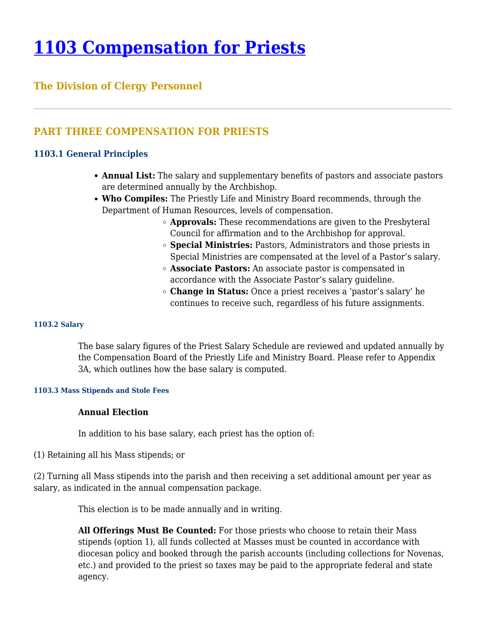# **[1103 Compensation for Priests](https://www.policy.archbalt.org/human-resources/1103-compensation-for-priests/)**

# **The Division of Clergy Personnel**

## **PART THREE COMPENSATION FOR PRIESTS**

## **1103.1 General Principles**

- **Annual List:** The salary and supplementary benefits of pastors and associate pastors are determined annually by the Archbishop.
- **Who Compiles:** The Priestly Life and Ministry Board recommends, through the Department of Human Resources, levels of compensation.
	- **Approvals:** These recommendations are given to the Presbyteral Council for affirmation and to the Archbishop for approval.
	- **Special Ministries:** Pastors, Administrators and those priests in Special Ministries are compensated at the level of a Pastor's salary.
	- **Associate Pastors:** An associate pastor is compensated in accordance with the Associate Pastor's salary guideline.
	- **Change in Status:** Once a priest receives a 'pastor's salary' he continues to receive such, regardless of his future assignments.

#### **1103.2 Salary**

The base salary figures of the Priest Salary Schedule are reviewed and updated annually by the Compensation Board of the Priestly Life and Ministry Board. Please refer to Appendix 3A, which outlines how the base salary is computed.

#### **1103.3 Mass Stipends and Stole Fees**

## **Annual Election**

In addition to his base salary, each priest has the option of:

(1) Retaining all his Mass stipends; or

(2) Turning all Mass stipends into the parish and then receiving a set additional amount per year as salary, as indicated in the annual compensation package.

This election is to be made annually and in writing.

**All Offerings Must Be Counted:** For those priests who choose to retain their Mass stipends (option 1), all funds collected at Masses must be counted in accordance with diocesan policy and booked through the parish accounts (including collections for Novenas, etc.) and provided to the priest so taxes may be paid to the appropriate federal and state agency.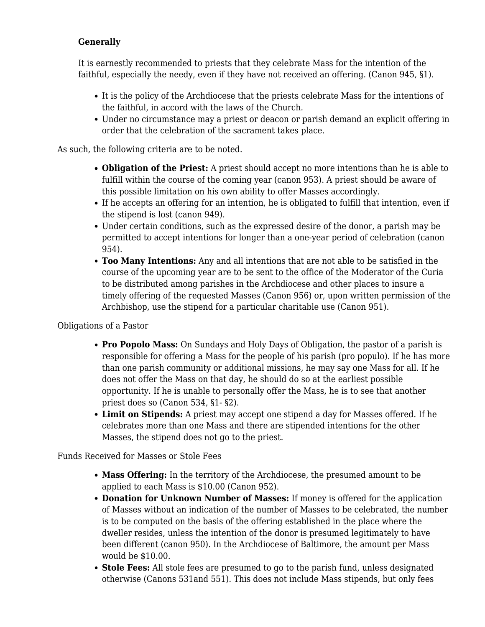## **Generally**

It is earnestly recommended to priests that they celebrate Mass for the intention of the faithful, especially the needy, even if they have not received an offering. (Canon 945, §1).

- It is the policy of the Archdiocese that the priests celebrate Mass for the intentions of the faithful, in accord with the laws of the Church.
- Under no circumstance may a priest or deacon or parish demand an explicit offering in order that the celebration of the sacrament takes place.

As such, the following criteria are to be noted.

- **Obligation of the Priest:** A priest should accept no more intentions than he is able to fulfill within the course of the coming year (canon 953). A priest should be aware of this possible limitation on his own ability to offer Masses accordingly.
- If he accepts an offering for an intention, he is obligated to fulfill that intention, even if the stipend is lost (canon 949).
- Under certain conditions, such as the expressed desire of the donor, a parish may be permitted to accept intentions for longer than a one-year period of celebration (canon 954).
- **Too Many Intentions:** Any and all intentions that are not able to be satisfied in the course of the upcoming year are to be sent to the office of the Moderator of the Curia to be distributed among parishes in the Archdiocese and other places to insure a timely offering of the requested Masses (Canon 956) or, upon written permission of the Archbishop, use the stipend for a particular charitable use (Canon 951).

Obligations of a Pastor

- **Pro Popolo Mass:** On Sundays and Holy Days of Obligation, the pastor of a parish is responsible for offering a Mass for the people of his parish (pro populo). If he has more than one parish community or additional missions, he may say one Mass for all. If he does not offer the Mass on that day, he should do so at the earliest possible opportunity. If he is unable to personally offer the Mass, he is to see that another priest does so (Canon 534, §1- §2).
- **Limit on Stipends:** A priest may accept one stipend a day for Masses offered. If he celebrates more than one Mass and there are stipended intentions for the other Masses, the stipend does not go to the priest.

Funds Received for Masses or Stole Fees

- **Mass Offering:** In the territory of the Archdiocese, the presumed amount to be applied to each Mass is \$10.00 (Canon 952).
- **Donation for Unknown Number of Masses:** If money is offered for the application of Masses without an indication of the number of Masses to be celebrated, the number is to be computed on the basis of the offering established in the place where the dweller resides, unless the intention of the donor is presumed legitimately to have been different (canon 950). In the Archdiocese of Baltimore, the amount per Mass would be \$10.00.
- **Stole Fees:** All stole fees are presumed to go to the parish fund, unless designated otherwise (Canons 531and 551). This does not include Mass stipends, but only fees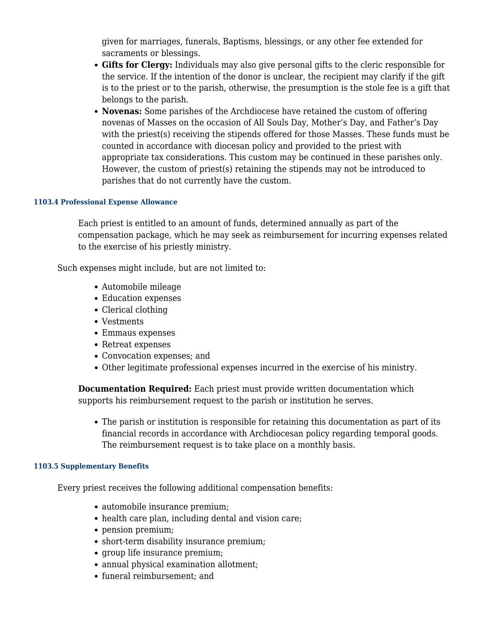given for marriages, funerals, Baptisms, blessings, or any other fee extended for sacraments or blessings.

- **Gifts for Clergy:** Individuals may also give personal gifts to the cleric responsible for the service. If the intention of the donor is unclear, the recipient may clarify if the gift is to the priest or to the parish, otherwise, the presumption is the stole fee is a gift that belongs to the parish.
- **Novenas:** Some parishes of the Archdiocese have retained the custom of offering novenas of Masses on the occasion of All Souls Day, Mother's Day, and Father's Day with the priest(s) receiving the stipends offered for those Masses. These funds must be counted in accordance with diocesan policy and provided to the priest with appropriate tax considerations. This custom may be continued in these parishes only. However, the custom of priest(s) retaining the stipends may not be introduced to parishes that do not currently have the custom.

#### **1103.4 Professional Expense Allowance**

Each priest is entitled to an amount of funds, determined annually as part of the compensation package, which he may seek as reimbursement for incurring expenses related to the exercise of his priestly ministry.

Such expenses might include, but are not limited to:

- Automobile mileage
- Education expenses
- Clerical clothing
- Vestments
- Emmaus expenses
- Retreat expenses
- Convocation expenses; and
- Other legitimate professional expenses incurred in the exercise of his ministry.

**Documentation Required:** Each priest must provide written documentation which supports his reimbursement request to the parish or institution he serves.

• The parish or institution is responsible for retaining this documentation as part of its financial records in accordance with Archdiocesan policy regarding temporal goods. The reimbursement request is to take place on a monthly basis.

#### **1103.5 Supplementary Benefits**

Every priest receives the following additional compensation benefits:

- automobile insurance premium;
- health care plan, including dental and vision care;
- pension premium;
- short-term disability insurance premium;
- group life insurance premium;
- annual physical examination allotment;
- funeral reimbursement: and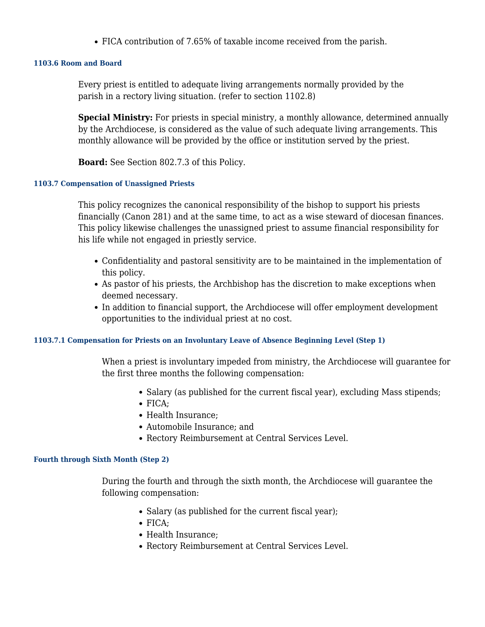FICA contribution of 7.65% of taxable income received from the parish.

#### **1103.6 Room and Board**

Every priest is entitled to adequate living arrangements normally provided by the parish in a rectory living situation. (refer to section 1102.8)

**Special Ministry:** For priests in special ministry, a monthly allowance, determined annually by the Archdiocese, is considered as the value of such adequate living arrangements. This monthly allowance will be provided by the office or institution served by the priest.

**Board:** See Section 802.7.3 of this Policy.

#### **1103.7 Compensation of Unassigned Priests**

This policy recognizes the canonical responsibility of the bishop to support his priests financially (Canon 281) and at the same time, to act as a wise steward of diocesan finances. This policy likewise challenges the unassigned priest to assume financial responsibility for his life while not engaged in priestly service.

- Confidentiality and pastoral sensitivity are to be maintained in the implementation of this policy.
- As pastor of his priests, the Archbishop has the discretion to make exceptions when deemed necessary.
- In addition to financial support, the Archdiocese will offer employment development opportunities to the individual priest at no cost.

#### **1103.7.1 Compensation for Priests on an Involuntary Leave of Absence Beginning Level (Step 1)**

When a priest is involuntary impeded from ministry, the Archdiocese will guarantee for the first three months the following compensation:

- Salary (as published for the current fiscal year), excluding Mass stipends;
- FICA:
- Health Insurance:
- Automobile Insurance; and
- Rectory Reimbursement at Central Services Level.

#### **Fourth through Sixth Month (Step 2)**

During the fourth and through the sixth month, the Archdiocese will guarantee the following compensation:

- Salary (as published for the current fiscal year);
- FICA;
- Health Insurance;
- Rectory Reimbursement at Central Services Level.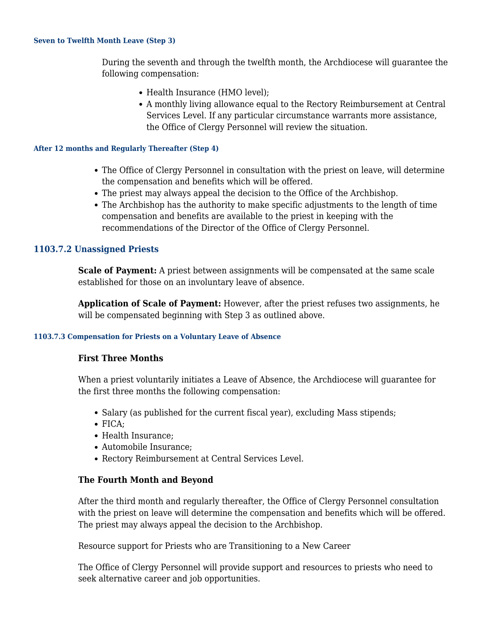#### **Seven to Twelfth Month Leave (Step 3)**

During the seventh and through the twelfth month, the Archdiocese will guarantee the following compensation:

- Health Insurance (HMO level):
- A monthly living allowance equal to the Rectory Reimbursement at Central Services Level. If any particular circumstance warrants more assistance, the Office of Clergy Personnel will review the situation.

#### **After 12 months and Regularly Thereafter (Step 4)**

- The Office of Clergy Personnel in consultation with the priest on leave, will determine the compensation and benefits which will be offered.
- The priest may always appeal the decision to the Office of the Archbishop.
- The Archbishop has the authority to make specific adjustments to the length of time compensation and benefits are available to the priest in keeping with the recommendations of the Director of the Office of Clergy Personnel.

### **1103.7.2 Unassigned Priests**

**Scale of Payment:** A priest between assignments will be compensated at the same scale established for those on an involuntary leave of absence.

**Application of Scale of Payment:** However, after the priest refuses two assignments, he will be compensated beginning with Step 3 as outlined above.

#### **1103.7.3 Compensation for Priests on a Voluntary Leave of Absence**

#### **First Three Months**

When a priest voluntarily initiates a Leave of Absence, the Archdiocese will guarantee for the first three months the following compensation:

- Salary (as published for the current fiscal year), excluding Mass stipends;
- $\bullet$  FICA:
- Health Insurance;
- Automobile Insurance;
- Rectory Reimbursement at Central Services Level.

#### **The Fourth Month and Beyond**

After the third month and regularly thereafter, the Office of Clergy Personnel consultation with the priest on leave will determine the compensation and benefits which will be offered. The priest may always appeal the decision to the Archbishop.

Resource support for Priests who are Transitioning to a New Career

The Office of Clergy Personnel will provide support and resources to priests who need to seek alternative career and job opportunities.